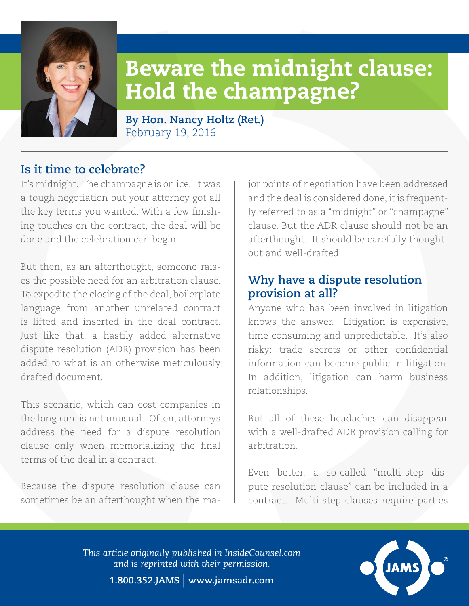

# Beware the midnight clause: Hold the champagne?

**By Hon. Nancy Holtz (Ret.)** February 19, 2016

## **Is it time to celebrate?**

It's midnight. The champagne is on ice. It was a tough negotiation but your attorney got all the key terms you wanted. With a few finishing touches on the contract, the deal will be done and the celebration can begin.

But then, as an afterthought, someone raises the possible need for an arbitration clause. To expedite the closing of the deal, boilerplate language from another unrelated contract is lifted and inserted in the deal contract. Just like that, a hastily added alternative dispute resolution (ADR) provision has been added to what is an otherwise meticulously drafted document.

This scenario, which can cost companies in the long run, is not unusual. Often, attorneys address the need for a dispute resolution clause only when memorializing the final terms of the deal in a contract.

Because the dispute resolution clause can sometimes be an afterthought when the major points of negotiation have been addressed and the deal is considered done, it is frequently referred to as a "midnight" or "champagne" clause. But the ADR clause should not be an afterthought. It should be carefully thoughtout and well-drafted.

## **Why have a dispute resolution provision at all?**

Anyone who has been involved in litigation knows the answer. Litigation is expensive, time consuming and unpredictable. It's also risky: trade secrets or other confidential information can become public in litigation. In addition, litigation can harm business relationships.

But all of these headaches can disappear with a well-drafted ADR provision calling for arbitration.

Even better, a so-called "multi-step dispute resolution clause" can be included in a contract. Multi-step clauses require parties

*This article originally published in InsideCounsel.com and is reprinted with their permission.*



**1.800.352.JAMS** | **www.jamsadr.com**